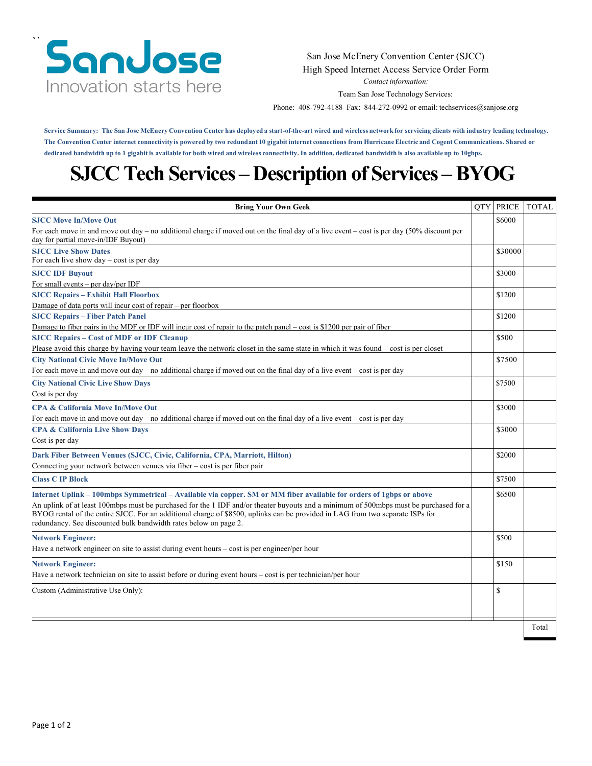### `` SanJose Innovation starts here

#### San Jose McEnery Convention Center (SJCC) High Speed Internet Access Service Order Form

*Contact information:*

Team San Jose Technology Services:

Phone: 408-792-4188 Fax: 844-272-0992 or email: [techservices@sanjose.org](mailto:techservices@sanjose.org)

Service Summary: The San Jose McEnery Convention Center has deployed a start-of-the-art wired and wireless network for servicing clients with industry leading technology. The Convention Center internet connectivity is powered by two redundant 10 gigabit internet connections from Hurricane Electric and Cogent Communications. Shared or dedicated bandwidth up to 1 gigabit is available for both wired and wireless connectivity. In addition, dedicated bandwidth is also available up to 10gbps.

# **SJCC Tech Services – Description of Services –BYOG**

| <b>Bring Your Own Geek</b>                                                                                                                                                                                                                                                                                                                                                                                                                                        | <b>OTY PRICE</b> | TOTAL |
|-------------------------------------------------------------------------------------------------------------------------------------------------------------------------------------------------------------------------------------------------------------------------------------------------------------------------------------------------------------------------------------------------------------------------------------------------------------------|------------------|-------|
| <b>SJCC Move In/Move Out</b>                                                                                                                                                                                                                                                                                                                                                                                                                                      | \$6000           |       |
| For each move in and move out day – no additional charge if moved out on the final day of a live event – cost is per day $(50\%$ discount per<br>day for partial move-in/IDF Buyout)                                                                                                                                                                                                                                                                              |                  |       |
| <b>SJCC Live Show Dates</b><br>For each live show $day - cost$ is per day                                                                                                                                                                                                                                                                                                                                                                                         | \$30000          |       |
| <b>SJCC IDF Buyout</b><br>For small events $-$ per day/per IDF                                                                                                                                                                                                                                                                                                                                                                                                    | \$3000           |       |
| <b>SJCC Repairs - Exhibit Hall Floorbox</b>                                                                                                                                                                                                                                                                                                                                                                                                                       | \$1200           |       |
| Damage of data ports will incur cost of repair – per floorbox                                                                                                                                                                                                                                                                                                                                                                                                     |                  |       |
| <b>SJCC Repairs - Fiber Patch Panel</b>                                                                                                                                                                                                                                                                                                                                                                                                                           | \$1200           |       |
| Damage to fiber pairs in the MDF or IDF will incur cost of repair to the patch panel – cost is \$1200 per pair of fiber                                                                                                                                                                                                                                                                                                                                           |                  |       |
| <b>SJCC Repairs - Cost of MDF or IDF Cleanup</b>                                                                                                                                                                                                                                                                                                                                                                                                                  | \$500            |       |
| Please avoid this charge by having your team leave the network closet in the same state in which it was found – cost is per closet                                                                                                                                                                                                                                                                                                                                |                  |       |
| <b>City National Civic Move In/Move Out</b>                                                                                                                                                                                                                                                                                                                                                                                                                       | \$7500           |       |
| For each move in and move out day $-$ no additional charge if moved out on the final day of a live event $-$ cost is per day                                                                                                                                                                                                                                                                                                                                      |                  |       |
| <b>City National Civic Live Show Days</b>                                                                                                                                                                                                                                                                                                                                                                                                                         | \$7500           |       |
| Cost is per day                                                                                                                                                                                                                                                                                                                                                                                                                                                   |                  |       |
| <b>CPA &amp; California Move In/Move Out</b>                                                                                                                                                                                                                                                                                                                                                                                                                      | \$3000           |       |
| For each move in and move out day – no additional charge if moved out on the final day of a live event – cost is per day                                                                                                                                                                                                                                                                                                                                          |                  |       |
| <b>CPA &amp; California Live Show Days</b>                                                                                                                                                                                                                                                                                                                                                                                                                        | \$3000           |       |
| Cost is per day                                                                                                                                                                                                                                                                                                                                                                                                                                                   |                  |       |
| Dark Fiber Between Venues (SJCC, Civic, California, CPA, Marriott, Hilton)                                                                                                                                                                                                                                                                                                                                                                                        | \$2000           |       |
| Connecting your network between venues via fiber - cost is per fiber pair                                                                                                                                                                                                                                                                                                                                                                                         |                  |       |
| <b>Class C IP Block</b>                                                                                                                                                                                                                                                                                                                                                                                                                                           | \$7500           |       |
| Internet Uplink – 100mbps Symmetrical – Available via copper. SM or MM fiber available for orders of 1gbps or above<br>An uplink of at least 100mbps must be purchased for the 1 IDF and/or theater buyouts and a minimum of 500mbps must be purchased for a<br>BYOG rental of the entire SJCC. For an additional charge of \$8500, uplinks can be provided in LAG from two separate ISPs for<br>redundancy. See discounted bulk bandwidth rates below on page 2. | \$6500           |       |
| <b>Network Engineer:</b><br>Have a network engineer on site to assist during event hours – cost is per engineer/per hour                                                                                                                                                                                                                                                                                                                                          | \$500            |       |
| <b>Network Engineer:</b><br>Have a network technician on site to assist before or during event hours – cost is per technician/per hour                                                                                                                                                                                                                                                                                                                            | \$150            |       |
| Custom (Administrative Use Only):                                                                                                                                                                                                                                                                                                                                                                                                                                 | S                |       |
|                                                                                                                                                                                                                                                                                                                                                                                                                                                                   |                  | Total |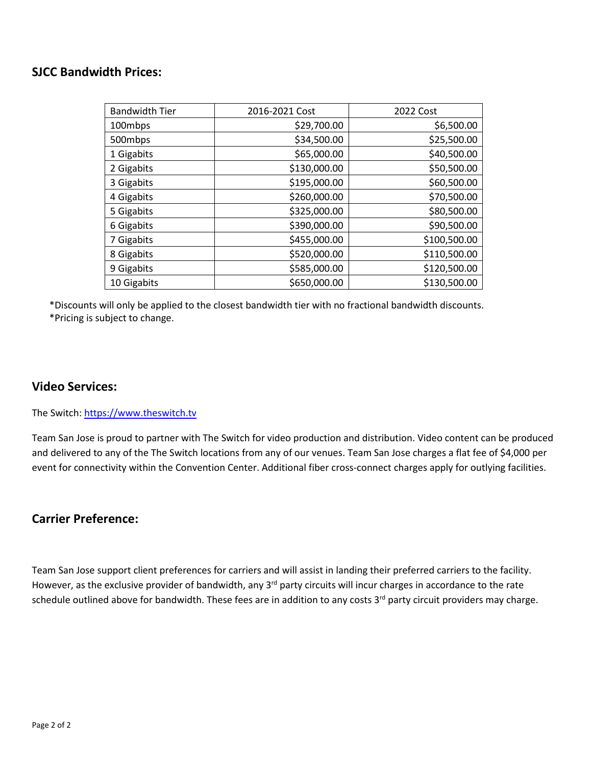### **SJCC Bandwidth Prices:**

| <b>Bandwidth Tier</b> | 2016-2021 Cost | 2022 Cost    |
|-----------------------|----------------|--------------|
| 100mbps               | \$29,700.00    | \$6,500.00   |
| 500mbps               | \$34,500.00    | \$25,500.00  |
| 1 Gigabits            | \$65,000.00    | \$40,500.00  |
| 2 Gigabits            | \$130,000.00   | \$50,500.00  |
| 3 Gigabits            | \$195,000.00   | \$60,500.00  |
| 4 Gigabits            | \$260,000.00   | \$70,500.00  |
| 5 Gigabits            | \$325,000.00   | \$80,500.00  |
| 6 Gigabits            | \$390,000.00   | \$90,500.00  |
| 7 Gigabits            | \$455,000.00   | \$100,500.00 |
| 8 Gigabits            | \$520,000.00   | \$110,500.00 |
| 9 Gigabits            | \$585,000.00   | \$120,500.00 |
| 10 Gigabits           | \$650,000.00   | \$130,500.00 |

\*Discounts will only be applied to the closest bandwidth tier with no fractional bandwidth discounts. \*Pricing is subject to change.

### **Video Services:**

The Switch: [https://www.theswitch.tv](https://www.theswitch.tv/)

Team San Jose is proud to partner with The Switch for video production and distribution. Video content can be produced and delivered to any of the The Switch locations from any of our venues. Team San Jose charges a flat fee of \$4,000 per event for connectivity within the Convention Center. Additional fiber cross-connect charges apply for outlying facilities.

### **Carrier Preference:**

Team San Jose support client preferences for carriers and will assist in landing their preferred carriers to the facility. However, as the exclusive provider of bandwidth, any 3<sup>rd</sup> party circuits will incur charges in accordance to the rate schedule outlined above for bandwidth. These fees are in addition to any costs  $3<sup>rd</sup>$  party circuit providers may charge.